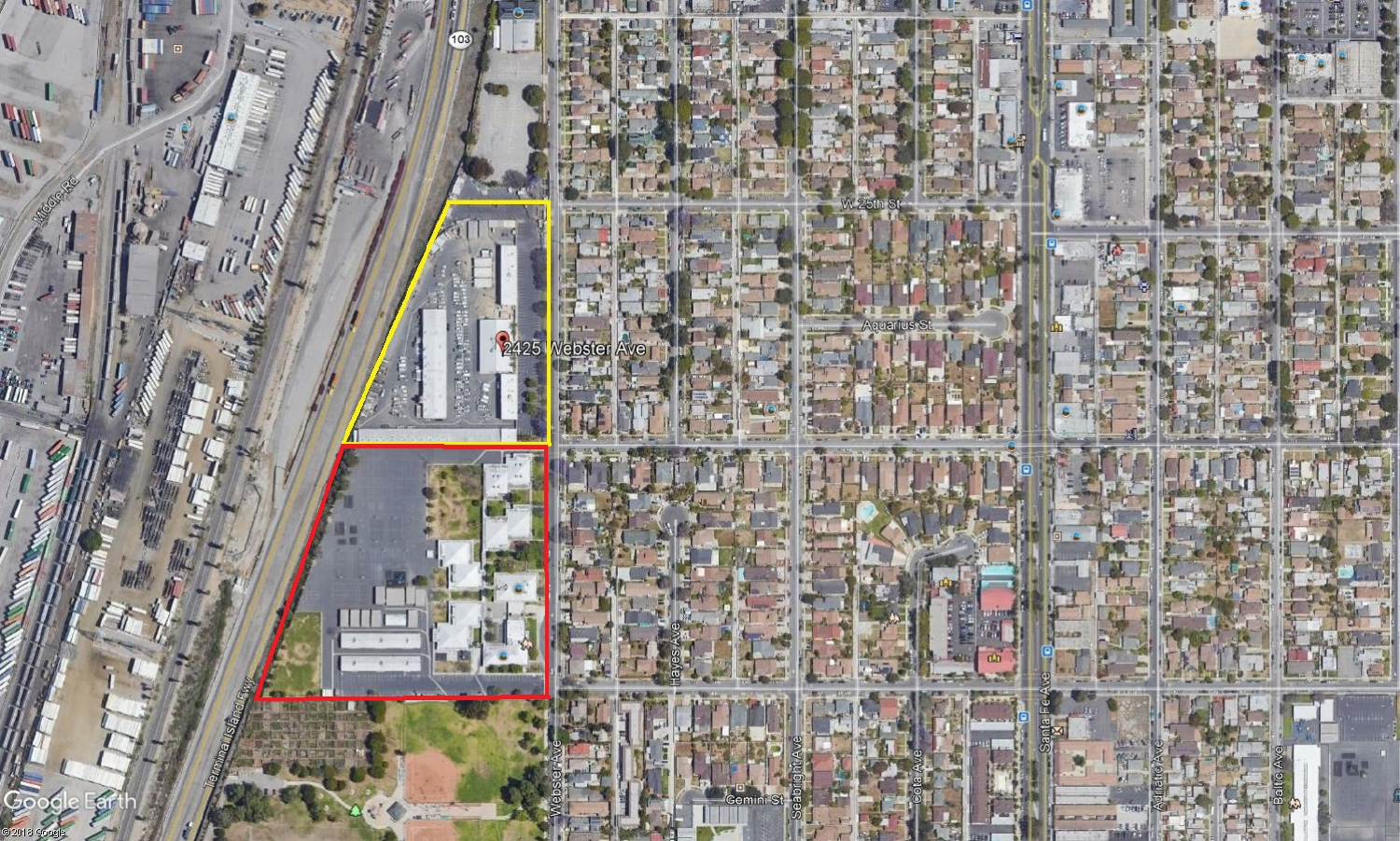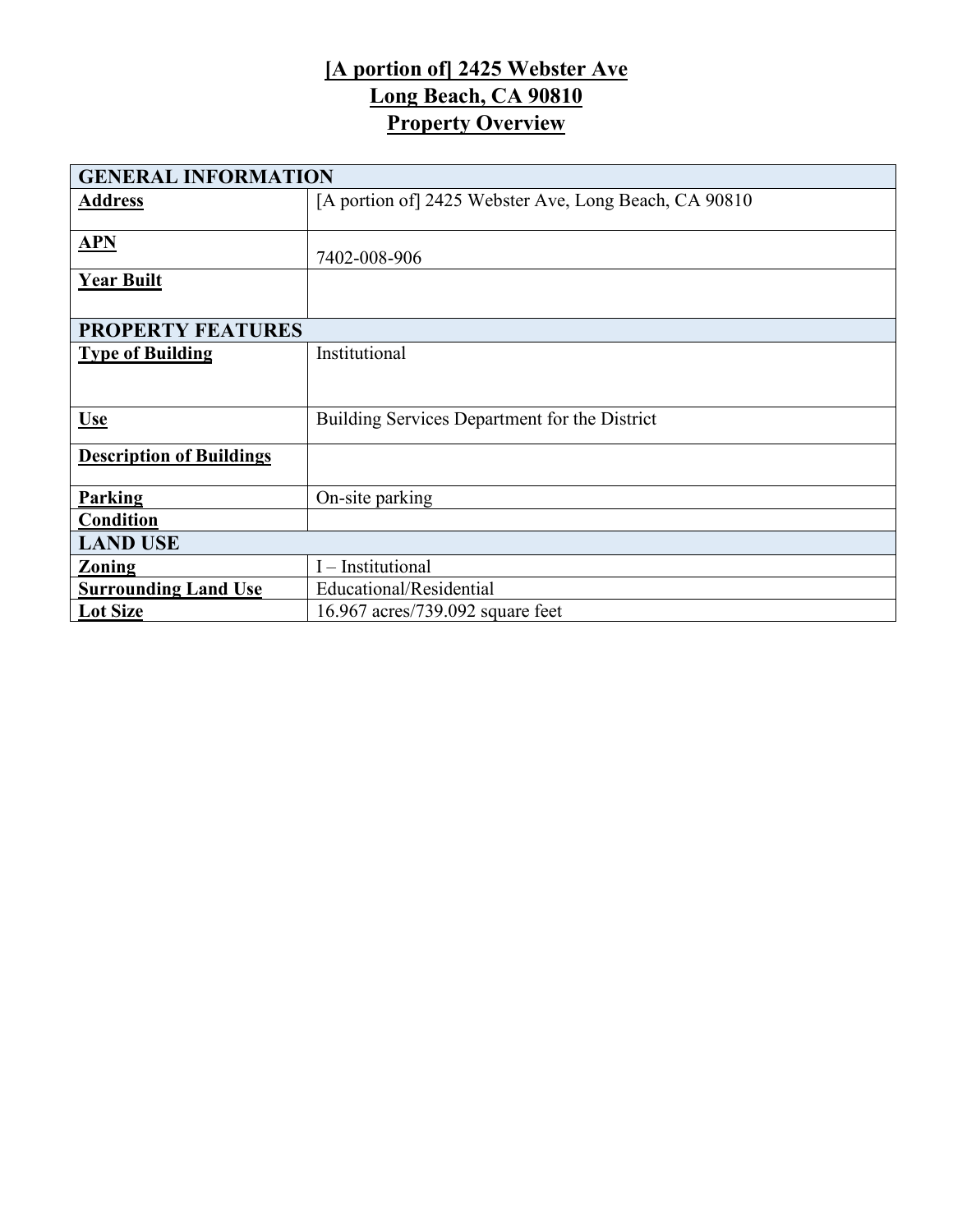## **[A portion of] 2425 Webster Ave Long Beach, CA 90810 Property Overview**

| <b>GENERAL INFORMATION</b>      |                                                       |  |  |  |
|---------------------------------|-------------------------------------------------------|--|--|--|
| <b>Address</b>                  | [A portion of] 2425 Webster Ave, Long Beach, CA 90810 |  |  |  |
|                                 |                                                       |  |  |  |
| APN                             |                                                       |  |  |  |
|                                 | 7402-008-906                                          |  |  |  |
| <b>Year Built</b>               |                                                       |  |  |  |
|                                 |                                                       |  |  |  |
| <b>PROPERTY FEATURES</b>        |                                                       |  |  |  |
| <b>Type of Building</b>         | Institutional                                         |  |  |  |
|                                 |                                                       |  |  |  |
|                                 |                                                       |  |  |  |
| <b>Use</b>                      | Building Services Department for the District         |  |  |  |
|                                 |                                                       |  |  |  |
| <b>Description of Buildings</b> |                                                       |  |  |  |
|                                 |                                                       |  |  |  |
| <b>Parking</b>                  | On-site parking                                       |  |  |  |
| Condition                       |                                                       |  |  |  |
| <b>LAND USE</b>                 |                                                       |  |  |  |
| <b>Zoning</b>                   | I - Institutional                                     |  |  |  |
| <b>Surrounding Land Use</b>     | Educational/Residential                               |  |  |  |
| <b>Lot Size</b>                 | 16.967 acres/739.092 square feet                      |  |  |  |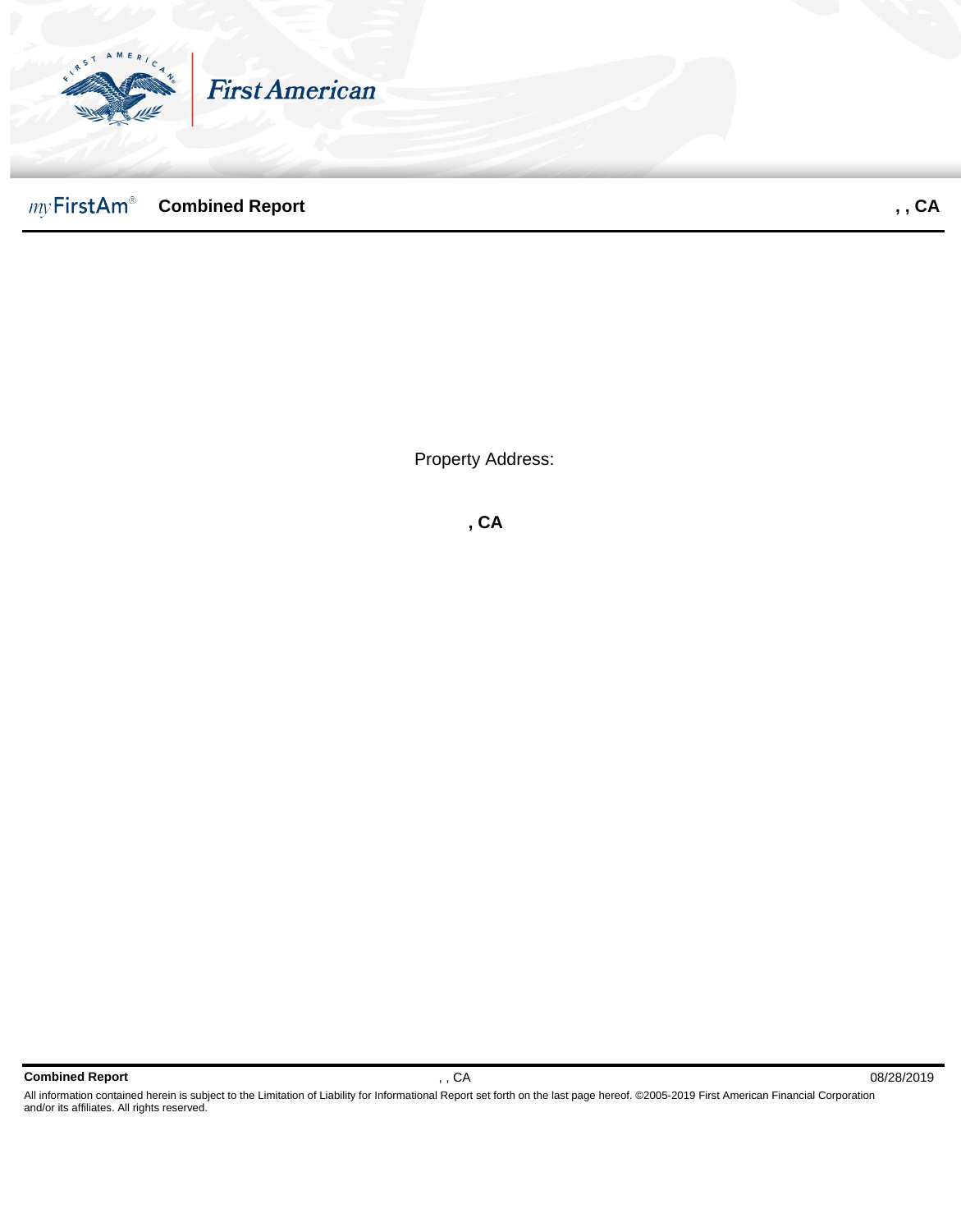

Property Address:

**, CA**

**Combined Report** , , CA 08/28/2019

All information contained herein is subject to the Limitation of Liability for Informational Report set forth on the last page hereof. ©2005-2019 First American Financial Corporation and/or its affiliates. All rights reserved.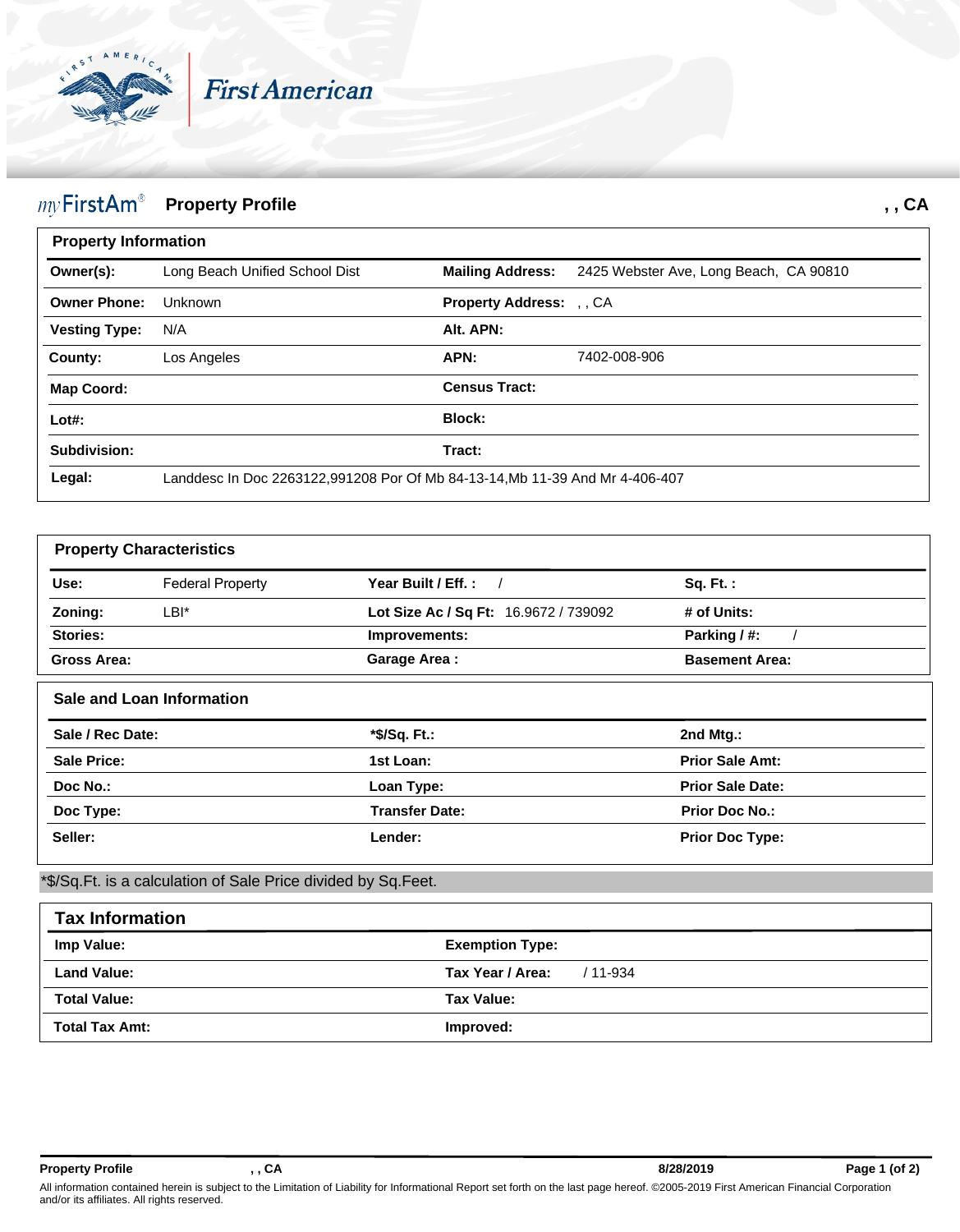

## $my$  First Am<sup>®</sup> Property Profile *ny* First Am® *, ,* **CA**

| <b>Property Information</b> |                                                                              |                                 |                                        |  |
|-----------------------------|------------------------------------------------------------------------------|---------------------------------|----------------------------------------|--|
| Owner(s):                   | Long Beach Unified School Dist                                               | <b>Mailing Address:</b>         | 2425 Webster Ave, Long Beach, CA 90810 |  |
| <b>Owner Phone:</b>         | Unknown                                                                      | <b>Property Address:</b> , , CA |                                        |  |
| <b>Vesting Type:</b>        | N/A                                                                          | Alt. APN:                       |                                        |  |
| County:                     | Los Angeles                                                                  | APN:                            | 7402-008-906                           |  |
| <b>Map Coord:</b>           |                                                                              | <b>Census Tract:</b>            |                                        |  |
| $Lot#$ :                    |                                                                              | Block:                          |                                        |  |
| Subdivision:                |                                                                              | Tract:                          |                                        |  |
| Legal:                      | Landdesc In Doc 2263122,991208 Por Of Mb 84-13-14, Mb 11-39 And Mr 4-406-407 |                                 |                                        |  |

| <b>Property Characteristics</b>                    |                                  |                                       |                         |  |
|----------------------------------------------------|----------------------------------|---------------------------------------|-------------------------|--|
| Use:                                               | <b>Federal Property</b>          | Year Built / Eff.:                    | <b>Sq. Ft.:</b>         |  |
| Zoning:                                            | LBI*                             | Lot Size Ac / Sq Ft: 16.9672 / 739092 | # of Units:             |  |
| Stories:                                           |                                  | Improvements:                         | Parking / #:            |  |
| Gross Area:                                        |                                  | <b>Garage Area:</b>                   | <b>Basement Area:</b>   |  |
|                                                    | <b>Sale and Loan Information</b> |                                       |                         |  |
|                                                    |                                  |                                       |                         |  |
|                                                    |                                  | *\$/Sq. Ft.:                          | 2nd Mtg.:               |  |
|                                                    |                                  | 1st Loan:                             | <b>Prior Sale Amt:</b>  |  |
| Sale / Rec Date:<br><b>Sale Price:</b><br>Doc No.: |                                  | Loan Type:                            | <b>Prior Sale Date:</b> |  |
| Doc Type:                                          |                                  | <b>Transfer Date:</b>                 | <b>Prior Doc No.:</b>   |  |

\*\$/Sq.Ft. is a calculation of Sale Price divided by Sq.Feet.

| <b>Tax Information</b> |                                  |  |  |  |
|------------------------|----------------------------------|--|--|--|
| Imp Value:             | <b>Exemption Type:</b>           |  |  |  |
| <b>Land Value:</b>     | <b>Tax Year / Area:</b> / 11-934 |  |  |  |
| <b>Total Value:</b>    | Tax Value:                       |  |  |  |
| <b>Total Tax Amt:</b>  | Improved:                        |  |  |  |